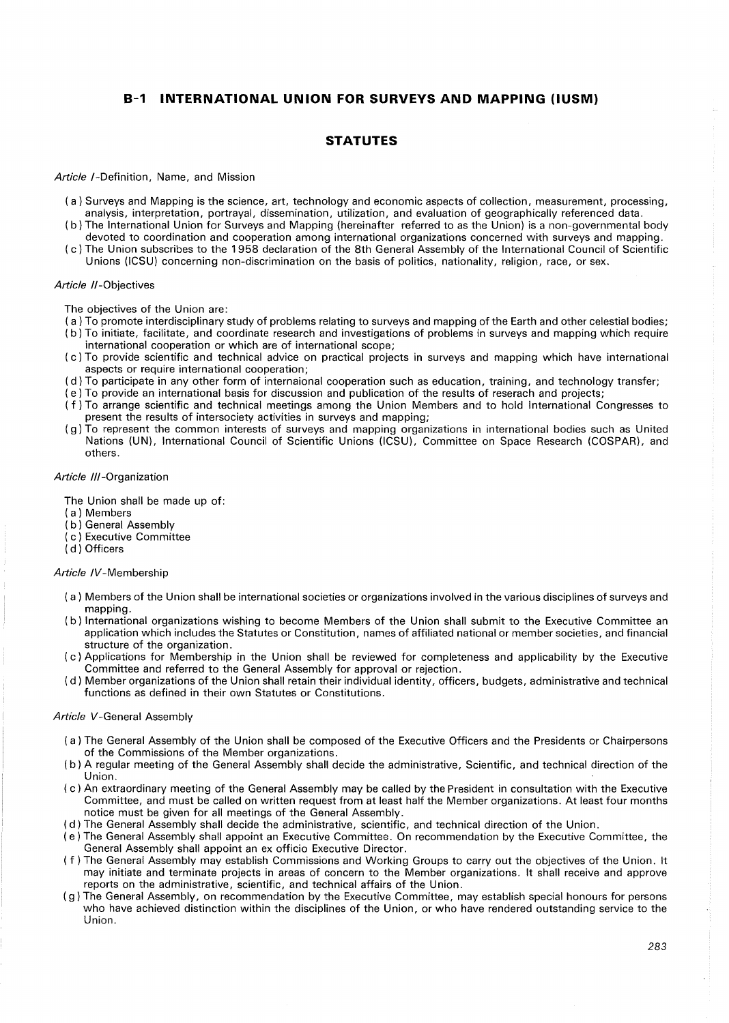# **B-1 INTERNATIONAL UNION FOR SURVEYS AND MAPPING (IUSM)**

# **STATUTES**

#### *Article* /-Definition, Name, and Mission

- (a) Surveys and Mapping is the science, art, technology and economic aspects of collection, measurement, processing, analysis, interpretation, portrayal, dissemination, utilization, and evaluation of geographically referenced data.
- ( b) The International Union for Surveys and Mapping (hereinafter referred to as the Union) is a non-governmental body devoted to coordination and cooperation among international organizations concerned with surveys and mapping.
- ( c) The Union subscribes to the 1958 declaration of the 8th General Assembly of the International Council of Scientific Unions (ICSU) concerning non-discrimination on the basis of politics, nationality, religion, race, or sex.

### *Article* //-Objectives

The objectives of the Union are:

- (a) To promote interdisciplinary study of problems relating to surveys and mapping of the Earth and other celestial bodies;
- ( b) To initiate, facilitate, and coordinate research and investigations of problems in surveys and mapping which require international cooperation or which are of international scope;
- ( c) To provide scientific and technical advice on practical projects in surveys and mapping which have international aspects or require international cooperation;
- ( d) To participate in any other form of internaional cooperation such as education, training, and technology transfer;
- ( e) To provide an international basis for discussion and publication of the results of reserach and projects;
- ( f) To arrange scientific and technical meetings among the Union Members and to hold International Congresses to present the results of intersociety activities in surveys and mapping;
- ( g) To represent the common interests of surveys and mapping organizations in international bodies such as United Nations (UN), International Council of Scientific Unions (ICSU), Committee on Space Research (COSPAR), and others.

# *Article* I/I-Organization

The Union shall be made up of:

- (a) Members
- ( b) General Assembly
- ( c) Executive Committee
- ( d ) Officers

### *Article* IV-Membership

- (a) Members of the Union shall be international societies or organizations involved in the various disciplines of surveys and mapping.
- ( b) International organizations wishing to become Members of the Union shall submit to the Executive Committee an application which includes the Statutes or Constitution, names of affiliated national or member societies, and financial structure of the organization.
- ( c) Applications for Membership in the Union shall be reviewed for completeness and applicability by the Executive Committee and referred to the General Assembly for approval or rejection.
- ( d) Member organizations of the Union shall retain their individual identity, officers, budgets, administrative and technical functions as defined in their own Statutes or Constitutions.

# *Article* V-General Assembly

- (a) The General Assembly of the Union shall be composed of the Executive Officers and the Presidents or Chairpersons of the Commissions of the Member organizations.
- ( b) A regular meeting of the General Assembly shall decide the administrative, Scientific, and technical direction of the Union.
- ( c ) An extraordinary meeting of the General Assembly may be called by the President in consultation with the Executive Committee, and must be called on written request from at least half the Member organizations. At least four months notice must be given for all meetings of the General Assembly.
- ( d) The General Assembly shall decide the administrative, scientific, and technical direction of the Union.
- ( e) The General Assembly shall appoint an Executive Committee. On recommendation by the Executive Committee, the General Assembly shall appoint an ex officio Executive Director.
- ( f) The General Assembly may establish Commissions and Working Groups to carry out the objectives of the Union. It may initiate and terminate projects in areas of concern to the Member organizations. It shall receive and approve reports on the administrative, scientific, and technical affairs of the Union.
- ( g) The General Assembly, on recommendation by the Executive Committee, may establish special honours for persons who have achieved distinction within the disciplines of the Union, or who have rendered outstanding service to the Union.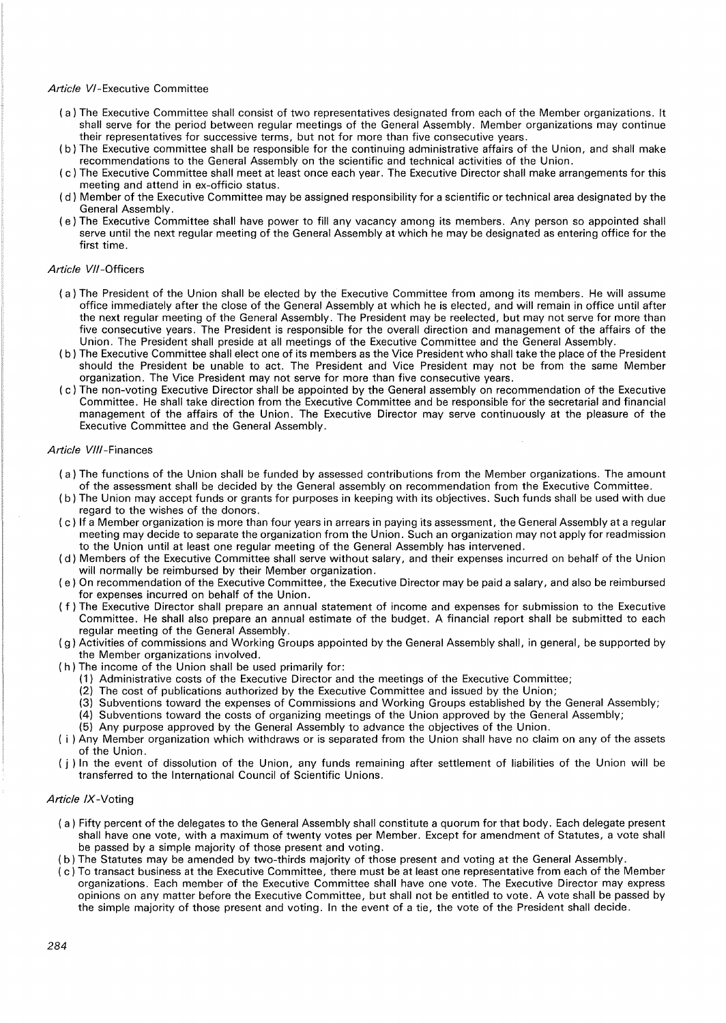## *Article* VI-Executive Committee

- (a) The Executive Committee shall consist of two representatives designated from each of the Member organizations. It shall serve for the period between regular meetings of the General Assembly. Member organizations may continue their representatives for successive terms, but not for more than five consecutive years.
- ( b) The Executive committee shall be responsible for the continuing administrative affairs of the Union, and shall make recommendations to the General Assembly on the scientific and technical activities of the Union.
- ( c) The Executive Committee shall meet at least once each year. The Executive Director shall make arrangements for this meeting and attend in ex-officio status.
- ( d) Member of the Executive Committee may be assigned responsibility for a scientific or technical area designated by the General Assembly.
- ( e) The Executive Committee shall have power to fill any vacancy among its members. Any person so appointed shall serve until the next regular meeting of the General Assembly at which he may be designated as entering office for the first time.

## *Article* VII-Officers

- (a) The President of the Union shall be elected by the Executive Committee from among its members. He will assume office immediately after the close of the General Assembly at which he is elected, and will remain in office until after the next regular meeting of the General Assembly. The President may be reelected, but may not serve for more than five consecutive years. The President is responsible for the overall direction and management of the affairs of the Union. The President shall preside at all meetings of the Executive Committee and the General Assembly.
- ( b) The Executive Committee shall elect one of its members as the Vice President who shall take the place of the President should the President be unable to act. The President and Vice President may not be from the same Member organization. The Vice President may not serve for more than five consecutive years.
- ( c) The non-voting Executive Director shall be appointed by the General assembly on recommendation of the Executive Committee. He shall take direction from the Executive Committee and be responsible for the secretarial and financial management of the affairs of the Union. The Executive Director may serve continuously at the pleasure of the Executive Committee and the General Assembly.

### *Article* VI/I-Finances

- (a) The functions of the Union shall be funded by assessed contributions from the Member organizations. The amount of the assessment shall be decided by the General assembly on recommendation from the Executive Committee.
- ( b) The Union may accept funds or grants for purposes in keeping with its objectives. Such funds shall be used with due regard to the wishes of the donors.
- ( c) If a Member organization is more than four years in arrears in paying its assessment, the General Assembly at a regular meeting may decide to separate the organization from the Union. Such an organization may not apply for readmission to the Union until at least one regular meeting of the General Assembly has intervened.
- ( d) Members of the Executive Committee shall serve without salary, and their expenses incurred on behalf of the Union will normally be reimbursed by their Member organization.
- ( e) On recommendation of the Executive Committee, the Executive Director may be paid a salary, and also be reimbursed for expenses incurred on behalf of the Union.
- ( f ) The Executive Director shall prepare an annual statement of income and expenses for submission to the Executive Committee. He shall also prepare an annual estimate of the budget. A financial report shall be submitted to each regular meeting of the General Assembly.
- ( g) Activities of commissions and Working Groups appointed by the General Assembly shall, in general, be supported by the Member organizations involved.
- ( h) The income of the Union shall be used primarily for:
	- (1) Administrative costs of the Executive Director and the meetings of the Executive Committee;
	- (2) The cost of publications authorized by the Executive Committee and issued by the Union;
	- (3) Subventions toward the expenses of Commissions and Working Groups established by the General Assembly;
	- (4) Subventions toward the costs of organizing meetings of the Union approved by the General Assembly;
	- (5) Any purpose approved by the General Assembly to advance the objectives of the Union.
- ( i ) Any Member organization which withdraws or is separated from the Union shall have no claim on any of the assets of the Union.
- ( j ) In the event of dissolution of the Union, any funds remaining after settlement of liabilities of the Union will be transferred to the International Council of Scientific Unions.

# *Article IX* -Voting

- ( a ) Fifty percent of the delegates to the General Assembly shall constitute a quorum for that body. Each delegate present shall have one vote, with a maximum of twenty votes per Member. Except for amendment of Statutes, a vote shall be passed by a simple majority of those present and voting.
- ( b) The Statutes may be amended by two-thirds majority of those present and voting at the General Assembly.
- ( c) To transact business at the Executive Committee, there must be at least one representative from each of the Member organizations. Each member of the Executive Committee shall have one vote. The Executive Director may express opinions on any matter before the Executive Committee, but shall not be entitled to vote. A vote shall be passed by the simple majority of those present and voting. In the event of a tie, the vote of the President shall decide.